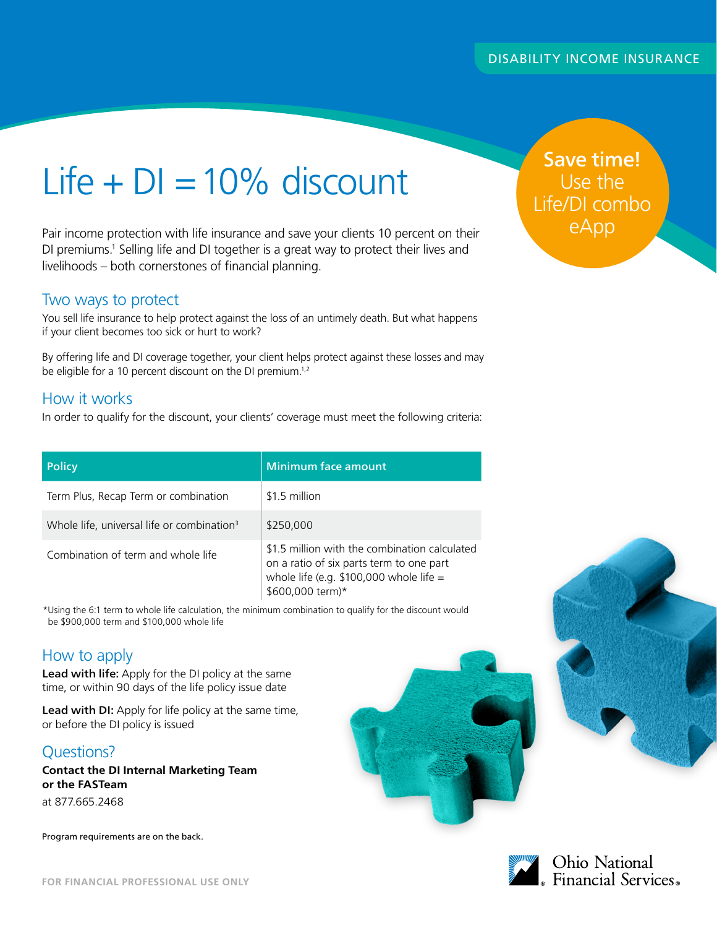Save time! Use the Life/DI combo

eApp

# Life  $+$  DI  $=$  10% discount

Pair income protection with life insurance and save your clients 10 percent on their DI premiums.<sup>1</sup> Selling life and DI together is a great way to protect their lives and livelihoods – both cornerstones of financial planning.

## Two ways to protect

You sell life insurance to help protect against the loss of an untimely death. But what happens if your client becomes too sick or hurt to work?

By offering life and DI coverage together, your client helps protect against these losses and may be eligible for a 10 percent discount on the DI premium.<sup>1,2</sup>

## How it works

In order to qualify for the discount, your clients' coverage must meet the following criteria:

| <b>Policy</b>                                          | <b>Minimum face amount</b>                                                                                                                                |
|--------------------------------------------------------|-----------------------------------------------------------------------------------------------------------------------------------------------------------|
| Term Plus, Recap Term or combination                   | \$1.5 million                                                                                                                                             |
| Whole life, universal life or combination <sup>3</sup> | \$250,000                                                                                                                                                 |
| Combination of term and whole life                     | \$1.5 million with the combination calculated<br>on a ratio of six parts term to one part<br>whole life (e.g. $$100,000$ whole life =<br>\$600,000 term)* |

\*Using the 6:1 term to whole life calculation, the minimum combination to qualify for the discount would be \$900,000 term and \$100,000 whole life

### How to apply

Lead with life: Apply for the DI policy at the same time, or within 90 days of the life policy issue date

Lead with DI: Apply for life policy at the same time, or before the DI policy is issued

## Questions?

**Contact the DI Internal Marketing Team or the FASTeam**  at 877.665.2468

Program requirements are on the back.